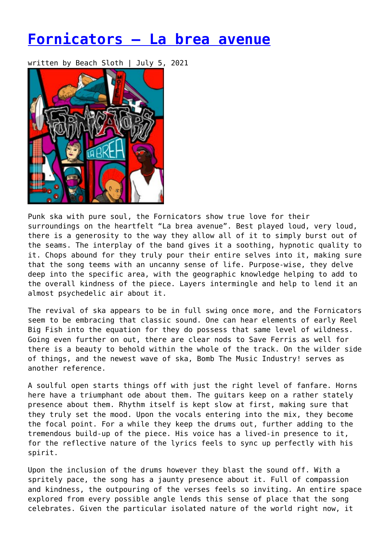## **[Fornicators – La brea avenue](https://entropymag.org/fornicators-la-brea-avenue/)**

written by Beach Sloth | July 5, 2021



Punk ska with pure soul, the Fornicators show true love for their surroundings on the heartfelt "La brea avenue". Best played loud, very loud, there is a generosity to the way they allow all of it to simply burst out of the seams. The interplay of the band gives it a soothing, hypnotic quality to it. Chops abound for they truly pour their entire selves into it, making sure that the song teems with an uncanny sense of life. Purpose-wise, they delve deep into the specific area, with the geographic knowledge helping to add to the overall kindness of the piece. Layers intermingle and help to lend it an almost psychedelic air about it.

The revival of ska appears to be in full swing once more, and the Fornicators seem to be embracing that classic sound. One can hear elements of early Reel Big Fish into the equation for they do possess that same level of wildness. Going even further on out, there are clear nods to Save Ferris as well for there is a beauty to behold within the whole of the track. On the wilder side of things, and the newest wave of ska, Bomb The Music Industry! serves as another reference.

A soulful open starts things off with just the right level of fanfare. Horns here have a triumphant ode about them. The guitars keep on a rather stately presence about them. Rhythm itself is kept slow at first, making sure that they truly set the mood. Upon the vocals entering into the mix, they become the focal point. For a while they keep the drums out, further adding to the tremendous build-up of the piece. His voice has a lived-in presence to it, for the reflective nature of the lyrics feels to sync up perfectly with his spirit.

Upon the inclusion of the drums however they blast the sound off. With a spritely pace, the song has a jaunty presence about it. Full of compassion and kindness, the outpouring of the verses feels so inviting. An entire space explored from every possible angle lends this sense of place that the song celebrates. Given the particular isolated nature of the world right now, it